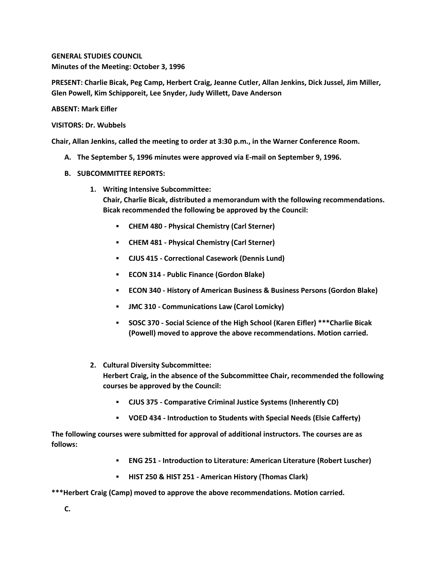**GENERAL STUDIES COUNCIL Minutes of the Meeting: October 3, 1996**

**PRESENT: Charlie Bicak, Peg Camp, Herbert Craig, Jeanne Cutler, Allan Jenkins, Dick Jussel, Jim Miller, Glen Powell, Kim Schipporeit, Lee Snyder, Judy Willett, Dave Anderson**

**ABSENT: Mark Eifler**

**VISITORS: Dr. Wubbels**

**Chair, Allan Jenkins, called the meeting to order at 3:30 p.m., in the Warner Conference Room.**

- **A. The September 5, 1996 minutes were approved via E-mail on September 9, 1996.**
- **B. SUBCOMMITTEE REPORTS:**
	- **1. Writing Intensive Subcommittee:**

**Chair, Charlie Bicak, distributed a memorandum with the following recommendations. Bicak recommended the following be approved by the Council:** 

- **CHEM 480 - Physical Chemistry (Carl Sterner)**
- **CHEM 481 - Physical Chemistry (Carl Sterner)**
- **CJUS 415 - Correctional Casework (Dennis Lund)**
- **ECON 314 - Public Finance (Gordon Blake)**
- **ECON 340 - History of American Business & Business Persons (Gordon Blake)**
- **JMC 310 - Communications Law (Carol Lomicky)**
- **SOSC 370 - Social Science of the High School (Karen Eifler) \*\*\*Charlie Bicak (Powell) moved to approve the above recommendations. Motion carried.**
- **2. Cultural Diversity Subcommittee: Herbert Craig, in the absence of the Subcommittee Chair, recommended the following courses be approved by the Council:** 
	- **CJUS 375 - Comparative Criminal Justice Systems (Inherently CD)**
	- **VOED 434 - Introduction to Students with Special Needs (Elsie Cafferty)**

**The following courses were submitted for approval of additional instructors. The courses are as follows:**

- **ENG 251 - Introduction to Literature: American Literature (Robert Luscher)**
- **HIST 250 & HIST 251 - American History (Thomas Clark)**

**\*\*\*Herbert Craig (Camp) moved to approve the above recommendations. Motion carried.**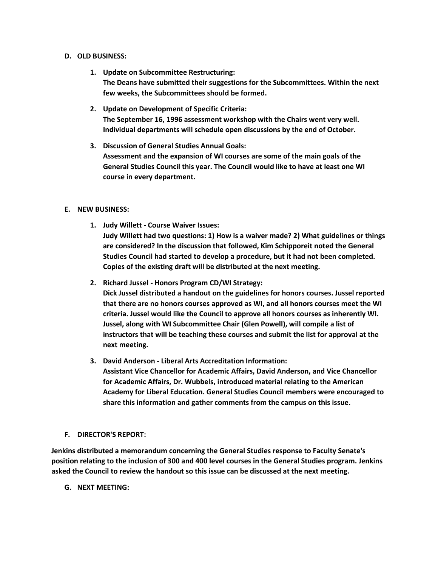## **D. OLD BUSINESS:**

- **1. Update on Subcommittee Restructuring: The Deans have submitted their suggestions for the Subcommittees. Within the next few weeks, the Subcommittees should be formed.**
- **2. Update on Development of Specific Criteria: The September 16, 1996 assessment workshop with the Chairs went very well. Individual departments will schedule open discussions by the end of October.**
- **3. Discussion of General Studies Annual Goals: Assessment and the expansion of WI courses are some of the main goals of the General Studies Council this year. The Council would like to have at least one WI course in every department.**

## **E. NEW BUSINESS:**

- **1. Judy Willett - Course Waiver Issues: Judy Willett had two questions: 1) How is a waiver made? 2) What guidelines or things are considered? In the discussion that followed, Kim Schipporeit noted the General Studies Council had started to develop a procedure, but it had not been completed. Copies of the existing draft will be distributed at the next meeting.**
- **2. Richard Jussel - Honors Program CD/WI Strategy:**
	- **Dick Jussel distributed a handout on the guidelines for honors courses. Jussel reported that there are no honors courses approved as WI, and all honors courses meet the WI criteria. Jussel would like the Council to approve all honors courses as inherently WI. Jussel, along with WI Subcommittee Chair (Glen Powell), will compile a list of instructors that will be teaching these courses and submit the list for approval at the next meeting.**
- **3. David Anderson - Liberal Arts Accreditation Information: Assistant Vice Chancellor for Academic Affairs, David Anderson, and Vice Chancellor for Academic Affairs, Dr. Wubbels, introduced material relating to the American Academy for Liberal Education. General Studies Council members were encouraged to share this information and gather comments from the campus on this issue.**

## **F. DIRECTOR'S REPORT:**

**Jenkins distributed a memorandum concerning the General Studies response to Faculty Senate's position relating to the inclusion of 300 and 400 level courses in the General Studies program. Jenkins asked the Council to review the handout so this issue can be discussed at the next meeting.**

**G. NEXT MEETING:**